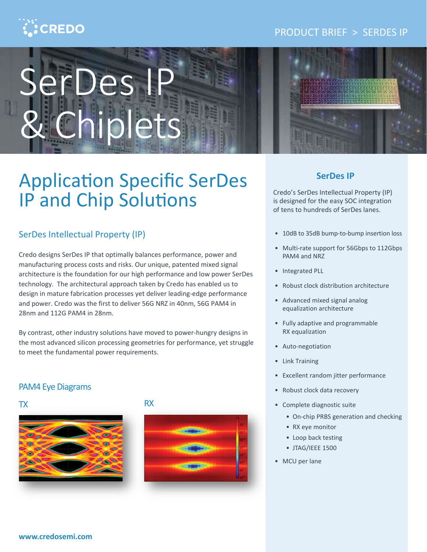# $\ddot{\cdot}$ CREDO

## PRODUCT BRIEF > SERDES IP



# Application Specific SerDes IP and Chip Solutions

## SerDes Intellectual Property (IP)

Credo designs SerDes IP that optimally balances performance, power and manufacturing process costs and risks. Our unique, patented mixed signal architecture is the foundation for our high performance and low power SerDes technology. The architectural approach taken by Credo has enabled us to design in mature fabrication processes yet deliver leading-edge performance and power. Credo was the first to deliver 56G NRZ in 40nm, 56G PAM4 in 28nm and 112G PAM4 in 28nm.

By contrast, other industry solutions have moved to power-hungry designs in the most advanced silicon processing geometries for performance, yet struggle to meet the fundamental power requirements.

## PAM4 Eye Diagrams





## TX RX



### **SerDes IP**

Credo's SerDes Intellectual Property (IP) is designed for the easy SOC integration of tens to hundreds of SerDes lanes.

- 10dB to 35dB bump-to-bump insertion loss
- Multi-rate support for 56Gbps to 112Gbps PAM4 and NRZ
- Integrated PLL
- Robust clock distribution architecture
- Advanced mixed signal analog equalization architecture
- Fully adaptive and programmable RX equalization
- Auto-negotiation
- Link Training
- Excellent random jitter performance
- Robust clock data recovery
- Complete diagnostic suite
	- On-chip PRBS generation and checking
	- RX eye monitor
	- Loop back testing
	- JTAG/IEEE 1500
- MCU per lane